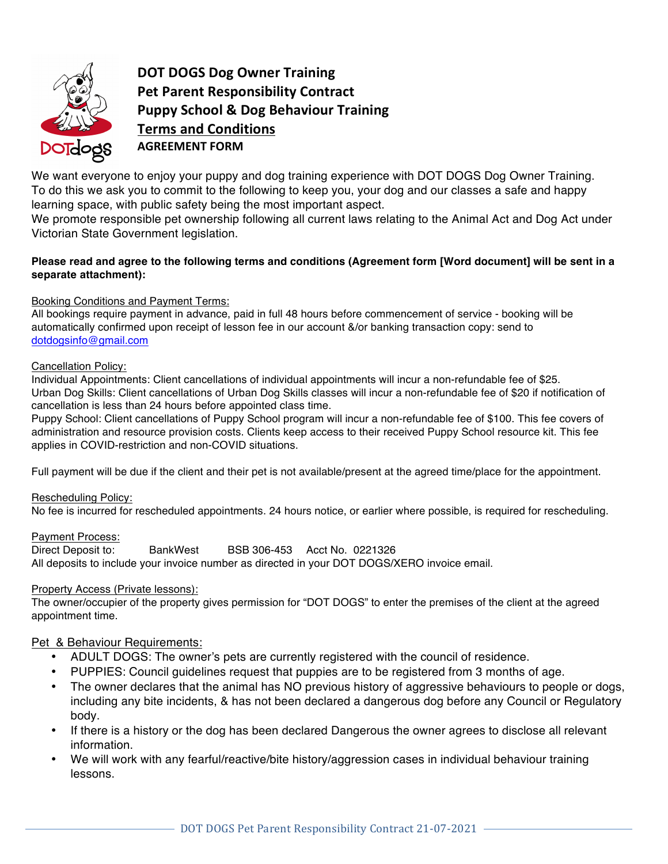

**DOT DOGS Dog Owner Training Pet Parent Responsibility Contract Puppy School & Dog Behaviour Training Terms and Conditions AGREEMENT FORM**

We want everyone to enjoy your puppy and dog training experience with DOT DOGS Dog Owner Training. To do this we ask you to commit to the following to keep you, your dog and our classes a safe and happy learning space, with public safety being the most important aspect.

We promote responsible pet ownership following all current laws relating to the Animal Act and Dog Act under Victorian State Government legislation.

### Please read and agree to the following terms and conditions (Agreement form [Word document] will be sent in a **separate attachment):**

### Booking Conditions and Payment Terms:

All bookings require payment in advance, paid in full 48 hours before commencement of service - booking will be automatically confirmed upon receipt of lesson fee in our account &/or banking transaction copy: send to dotdogsinfo@gmail.com

#### Cancellation Policy:

Individual Appointments: Client cancellations of individual appointments will incur a non-refundable fee of \$25. Urban Dog Skills: Client cancellations of Urban Dog Skills classes will incur a non-refundable fee of \$20 if notification of cancellation is less than 24 hours before appointed class time.

Puppy School: Client cancellations of Puppy School program will incur a non-refundable fee of \$100. This fee covers of administration and resource provision costs. Clients keep access to their received Puppy School resource kit. This fee applies in COVID-restriction and non-COVID situations.

Full payment will be due if the client and their pet is not available/present at the agreed time/place for the appointment.

#### Rescheduling Policy:

No fee is incurred for rescheduled appointments. 24 hours notice, or earlier where possible, is required for rescheduling.

#### Payment Process:

Direct Deposit to: BankWest BSB 306-453 Acct No. 0221326 All deposits to include your invoice number as directed in your DOT DOGS/XERO invoice email.

#### Property Access (Private lessons):

The owner/occupier of the property gives permission for "DOT DOGS" to enter the premises of the client at the agreed appointment time.

## Pet & Behaviour Requirements:

- ADULT DOGS: The owner's pets are currently registered with the council of residence.
- PUPPIES: Council guidelines request that puppies are to be registered from 3 months of age.
- The owner declares that the animal has NO previous history of aggressive behaviours to people or dogs, including any bite incidents, & has not been declared a dangerous dog before any Council or Regulatory body.
- If there is a history or the dog has been declared Dangerous the owner agrees to disclose all relevant information.
- We will work with any fearful/reactive/bite history/aggression cases in individual behaviour training lessons.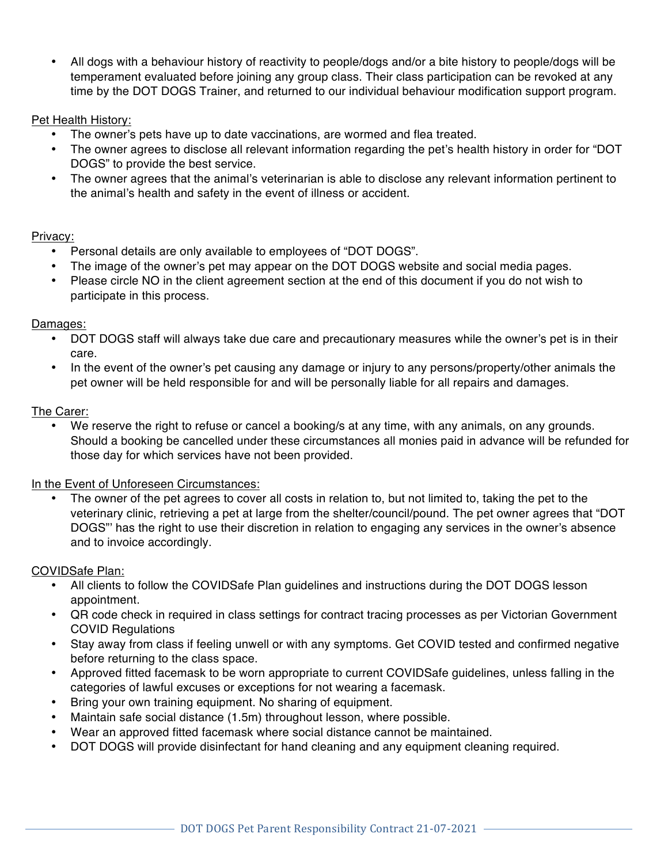• All dogs with a behaviour history of reactivity to people/dogs and/or a bite history to people/dogs will be temperament evaluated before joining any group class. Their class participation can be revoked at any time by the DOT DOGS Trainer, and returned to our individual behaviour modification support program.

# Pet Health History:

- The owner's pets have up to date vaccinations, are wormed and flea treated.
- The owner agrees to disclose all relevant information regarding the pet's health history in order for "DOT DOGS" to provide the best service.
- The owner agrees that the animal's veterinarian is able to disclose any relevant information pertinent to the animal's health and safety in the event of illness or accident.

## Privacy:

- Personal details are only available to employees of "DOT DOGS".
- The image of the owner's pet may appear on the DOT DOGS website and social media pages.
- Please circle NO in the client agreement section at the end of this document if you do not wish to participate in this process.

## Damages:

- DOT DOGS staff will always take due care and precautionary measures while the owner's pet is in their care.
- In the event of the owner's pet causing any damage or injury to any persons/property/other animals the pet owner will be held responsible for and will be personally liable for all repairs and damages.

## The Carer:

We reserve the right to refuse or cancel a booking/s at any time, with any animals, on any grounds. Should a booking be cancelled under these circumstances all monies paid in advance will be refunded for those day for which services have not been provided.

## In the Event of Unforeseen Circumstances:

The owner of the pet agrees to cover all costs in relation to, but not limited to, taking the pet to the veterinary clinic, retrieving a pet at large from the shelter/council/pound. The pet owner agrees that "DOT DOGS"' has the right to use their discretion in relation to engaging any services in the owner's absence and to invoice accordingly.

# COVIDSafe Plan:

- All clients to follow the COVIDSafe Plan guidelines and instructions during the DOT DOGS lesson appointment.
- QR code check in required in class settings for contract tracing processes as per Victorian Government COVID Regulations
- Stay away from class if feeling unwell or with any symptoms. Get COVID tested and confirmed negative before returning to the class space.
- Approved fitted facemask to be worn appropriate to current COVIDSafe guidelines, unless falling in the categories of lawful excuses or exceptions for not wearing a facemask.
- Bring your own training equipment. No sharing of equipment.
- Maintain safe social distance (1.5m) throughout lesson, where possible.
- Wear an approved fitted facemask where social distance cannot be maintained.
- DOT DOGS will provide disinfectant for hand cleaning and any equipment cleaning required.